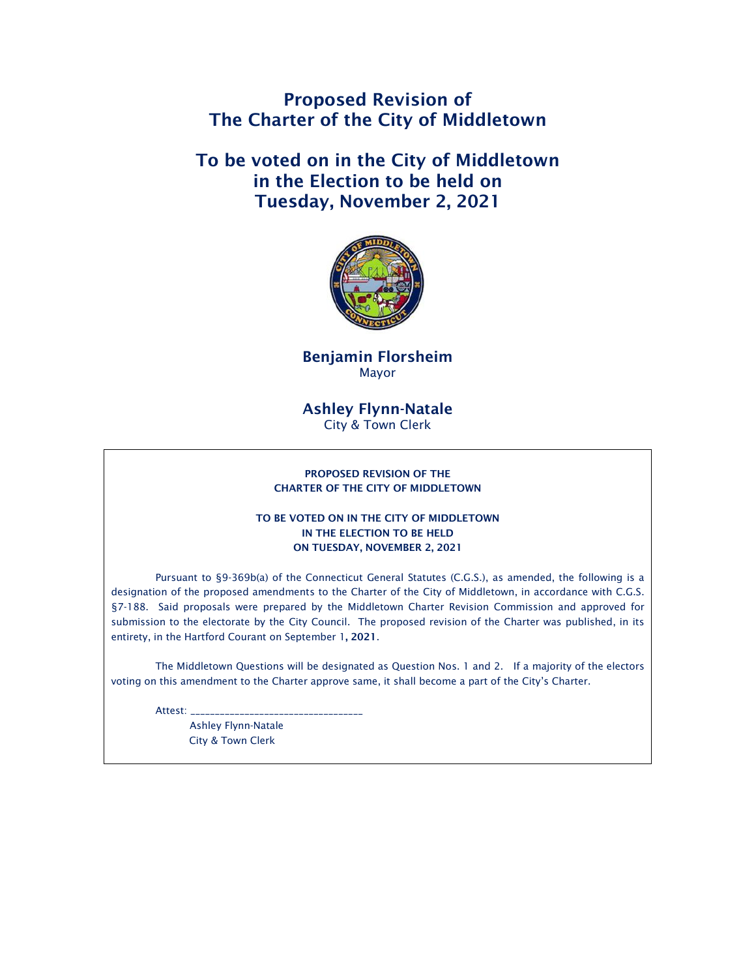Proposed Revision of The Charter of the City of Middletown

To be voted on in the City of Middletown in the Election to be held on Tuesday, November 2, 2021



Benjamin Florsheim Mayor

# Ashley Flynn-Natale City & Town Clerk

#### PROPOSED REVISION OF THE CHARTER OF THE CITY OF MIDDLETOWN

### TO BE VOTED ON IN THE CITY OF MIDDLETOWN IN THE ELECTION TO BE HELD ON TUESDAY, NOVEMBER 2, 2021

Pursuant to §9-369b(a) of the Connecticut General Statutes (C.G.S.), as amended, the following is a designation of the proposed amendments to the Charter of the City of Middletown, in accordance with C.G.S. §7-188. Said proposals were prepared by the Middletown Charter Revision Commission and approved for submission to the electorate by the City Council. The proposed revision of the Charter was published, in its entirety, in the Hartford Courant on September 1, 2021.

The Middletown Questions will be designated as Question Nos. 1 and 2. If a majority of the electors voting on this amendment to the Charter approve same, it shall become a part of the City's Charter.

Attest:

 Ashley Flynn-Natale City & Town Clerk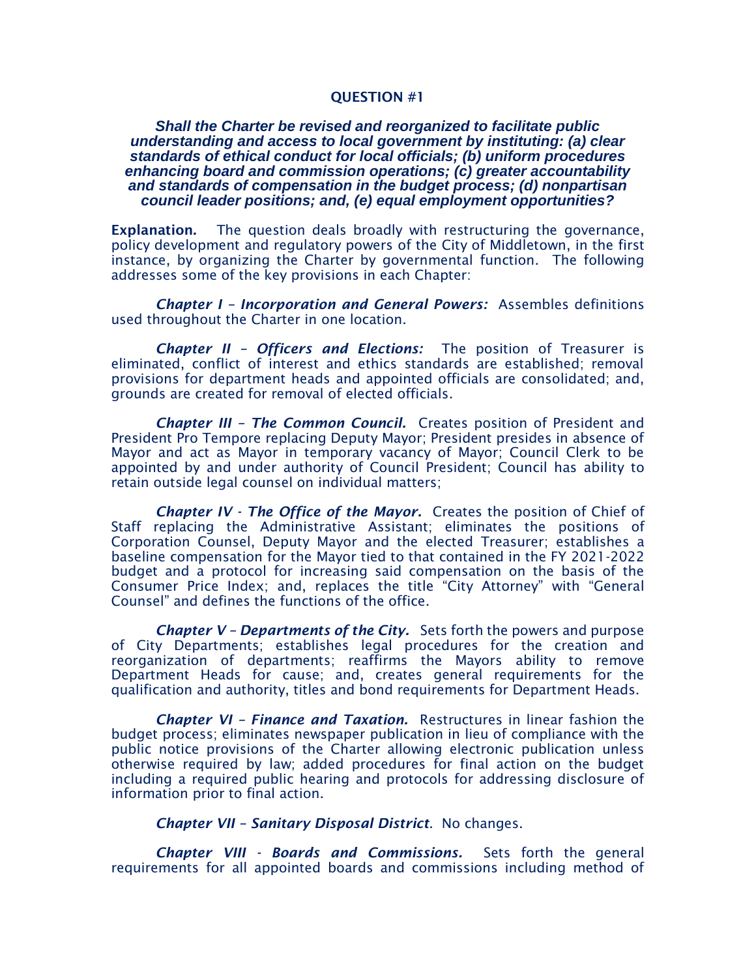# QUESTION #1

# *Shall the Charter be revised and reorganized to facilitate public understanding and access to local government by instituting: (a) clear standards of ethical conduct for local officials; (b) uniform procedures enhancing board and commission operations; (c) greater accountability and standards of compensation in the budget process; (d) nonpartisan council leader positions; and, (e) equal employment opportunities?*

Explanation. The question deals broadly with restructuring the governance, policy development and regulatory powers of the City of Middletown, in the first instance, by organizing the Charter by governmental function. The following addresses some of the key provisions in each Chapter:

*Chapter I – Incorporation and General Powers:* Assembles definitions used throughout the Charter in one location.

*Chapter II – Officers and Elections:* The position of Treasurer is eliminated, conflict of interest and ethics standards are established; removal provisions for department heads and appointed officials are consolidated; and, grounds are created for removal of elected officials.

*Chapter III - The Common Council.* Creates position of President and President Pro Tempore replacing Deputy Mayor; President presides in absence of Mayor and act as Mayor in temporary vacancy of Mayor; Council Clerk to be appointed by and under authority of Council President; Council has ability to retain outside legal counsel on individual matters;

*Chapter IV - The Office of the Mayor.* Creates the position of Chief of Staff replacing the Administrative Assistant; eliminates the positions of Corporation Counsel, Deputy Mayor and the elected Treasurer; establishes a baseline compensation for the Mayor tied to that contained in the FY 2021-2022 budget and a protocol for increasing said compensation on the basis of the Consumer Price Index; and, replaces the title "City Attorney" with "General Counsel" and defines the functions of the office.

*Chapter V – Departments of the City.* Sets forth the powers and purpose of City Departments; establishes legal procedures for the creation and reorganization of departments; reaffirms the Mayors ability to remove Department Heads for cause; and, creates general requirements for the qualification and authority, titles and bond requirements for Department Heads.

*Chapter VI – Finance and Taxation.* Restructures in linear fashion the budget process; eliminates newspaper publication in lieu of compliance with the public notice provisions of the Charter allowing electronic publication unless otherwise required by law; added procedures for final action on the budget including a required public hearing and protocols for addressing disclosure of information prior to final action.

*Chapter VII – Sanitary Disposal District*. No changes.

*Chapter VIII - Boards and Commissions.* Sets forth the general requirements for all appointed boards and commissions including method of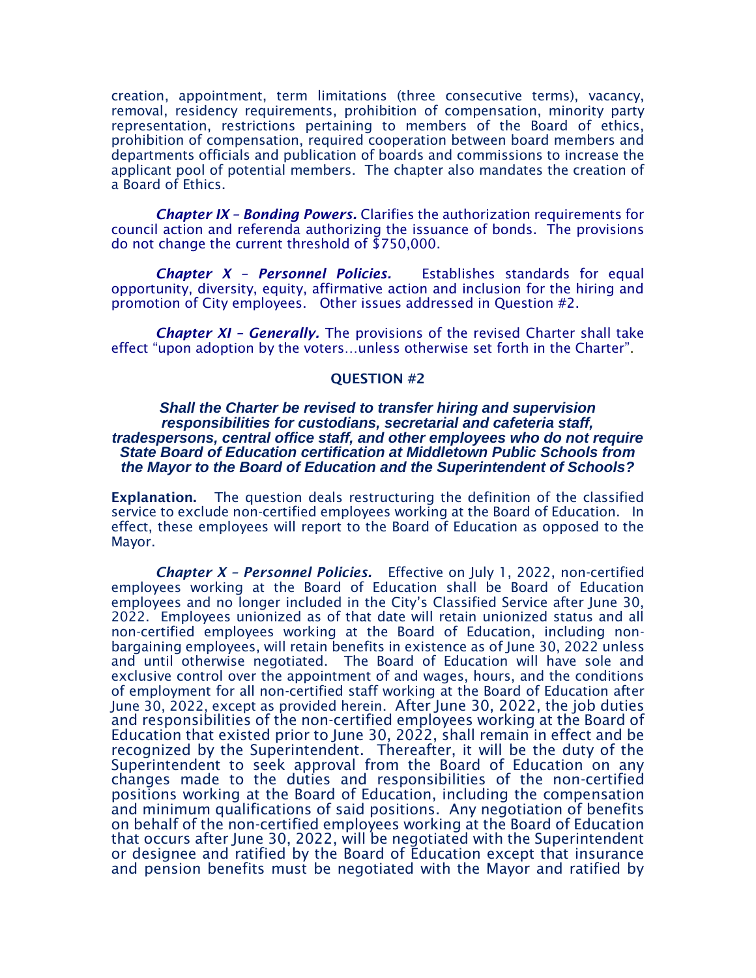creation, appointment, term limitations (three consecutive terms), vacancy, removal, residency requirements, prohibition of compensation, minority party representation, restrictions pertaining to members of the Board of ethics, prohibition of compensation, required cooperation between board members and departments officials and publication of boards and commissions to increase the applicant pool of potential members. The chapter also mandates the creation of a Board of Ethics.

*Chapter IX – Bonding Powers.* Clarifies the authorization requirements for council action and referenda authorizing the issuance of bonds. The provisions do not change the current threshold of \$750,000.

*Chapter X – Personnel Policies.* Establishes standards for equal opportunity, diversity, equity, affirmative action and inclusion for the hiring and promotion of City employees. Other issues addressed in Question #2.

*Chapter XI – Generally.* The provisions of the revised Charter shall take effect "upon adoption by the voters…unless otherwise set forth in the Charter".

### QUESTION #2

# *Shall the Charter be revised to transfer hiring and supervision responsibilities for custodians, secretarial and cafeteria staff, tradespersons, central office staff, and other employees who do not require State Board of Education certification at Middletown Public Schools from the Mayor to the Board of Education and the Superintendent of Schools?*

Explanation. The question deals restructuring the definition of the classified service to exclude non-certified employees working at the Board of Education. In effect, these employees will report to the Board of Education as opposed to the Mayor.

*Chapter X – Personnel Policies.* Effective on July 1, 2022, non-certified employees working at the Board of Education shall be Board of Education employees and no longer included in the City's Classified Service after June 30, 2022. Employees unionized as of that date will retain unionized status and all non-certified employees working at the Board of Education, including nonbargaining employees, will retain benefits in existence as of June 30, 2022 unless and until otherwise negotiated. The Board of Education will have sole and exclusive control over the appointment of and wages, hours, and the conditions of employment for all non-certified staff working at the Board of Education after June 30, 2022, except as provided herein. After June 30, 2022, the job duties and responsibilities of the non-certified employees working at the Board of Education that existed prior to June 30, 2022, shall remain in effect and be recognized by the Superintendent. Thereafter, it will be the duty of the Superintendent to seek approval from the Board of Education on any changes made to the duties and responsibilities of the non-certified positions working at the Board of Education, including the compensation and minimum qualifications of said positions. Any negotiation of benefits on behalf of the non-certified employees working at the Board of Education that occurs after June 30, 2022, will be negotiated with the Superintendent or designee and ratified by the Board of Education except that insurance and pension benefits must be negotiated with the Mayor and ratified by